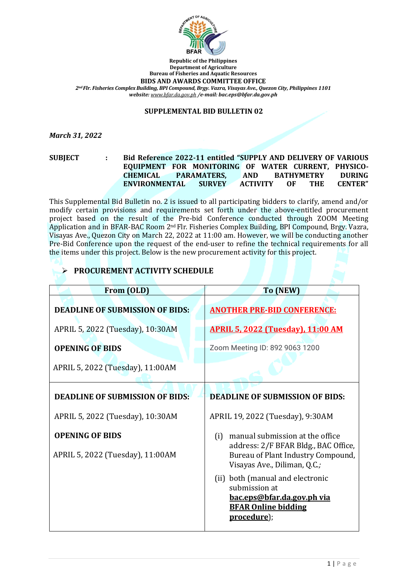

**Republic of the Philippines Department of Agriculture Bureau of Fisheries and Aquatic Resources BIDS AND AWARDS COMMITTEE OFFICE** *2nd Flr. Fisheries Complex Building, BPI Compound, Brgy. Vazra, Visayas Ave., Quezon City, Philippines 1101 website: [www.bfar.da.gov.ph](http://www.bfar.da.gov.ph/) /e-mail: bac.eps@bfar.da.gov.ph*

## **SUPPLEMENTAL BID BULLETIN 02**

*March 31, 2022*

**SUBJECT : Bid Reference 2022-11 entitled "SUPPLY AND DELIVERY OF VARIOUS EQUIPMENT FOR MONITORING OF WATER CURRENT, PHYSICO-CHEMICAL PARAMATERS, AND BATHYMETRY DURING ENVIRONMENTAL SURVEY ACTIVITY OF THE CENTER"**

This Supplemental Bid Bulletin no. 2 is issued to all participating bidders to clarify, amend and/or modify certain provisions and requirements set forth under the above-entitled procurement project based on the result of the Pre-bid Conference conducted through ZOOM Meeting Application and in BFAR-BAC Room 2nd Flr. Fisheries Complex Building, BPI Compound, Brgy. Vazra, Visayas Ave., Quezon City on March 22, 2022 at 11:00 am. However, we will be conducting another Pre-Bid Conference upon the request of the end-user to refine the technical requirements for all the items under this project. Below is the new procurement activity for this project.

| From (OLD)                             | To (NEW)                                                                                                   |
|----------------------------------------|------------------------------------------------------------------------------------------------------------|
| <b>DEADLINE OF SUBMISSION OF BIDS:</b> | <b>ANOTHER PRE-BID CONFERENCE:</b>                                                                         |
| APRIL 5, 2022 (Tuesday), 10:30AM       | <b>APRIL 5, 2022 (Tuesday), 11:00 AM</b>                                                                   |
| <b>OPENING OF BIDS</b>                 | Zoom Meeting ID: 892 9063 1200                                                                             |
| APRIL 5, 2022 (Tuesday), 11:00AM       |                                                                                                            |
| <b>DEADLINE OF SUBMISSION OF BIDS:</b> | <b>DEADLINE OF SUBMISSION OF BIDS:</b>                                                                     |
| APRIL 5, 2022 (Tuesday), 10:30AM       | APRIL 19, 2022 (Tuesday), 9:30AM                                                                           |
| <b>OPENING OF BIDS</b>                 | manual submission at the office<br>(i)                                                                     |
| APRIL 5, 2022 (Tuesday), 11:00AM       | address: 2/F BFAR Bldg., BAC Office,<br>Bureau of Plant Industry Compound,<br>Visayas Ave., Diliman, Q.C.; |
|                                        | (ii) both (manual and electronic<br>submission at                                                          |
|                                        | <u>bac.eps@bfar.da.gov.ph via</u><br><b>BFAR Online bidding</b>                                            |
|                                        | procedure);                                                                                                |

## ➢ **PROCUREMENT ACTIVITY SCHEDULE**